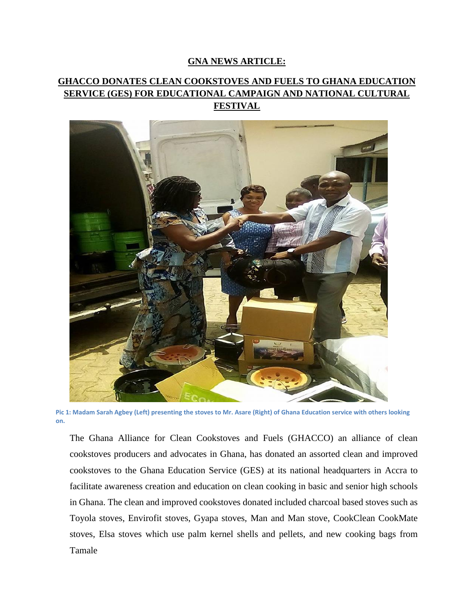## **GNA NEWS ARTICLE:**

## **GHACCO DONATES CLEAN COOKSTOVES AND FUELS TO GHANA EDUCATION SERVICE (GES) FOR EDUCATIONAL CAMPAIGN AND NATIONAL CULTURAL FESTIVAL**



**Pic 1: Madam Sarah Agbey (Left) presenting the stoves to Mr. Asare (Right) of Ghana Education service with others looking on.**

The Ghana Alliance for Clean Cookstoves and Fuels (GHACCO) an alliance of clean cookstoves producers and advocates in Ghana, has donated an assorted clean and improved cookstoves to the Ghana Education Service (GES) at its national headquarters in Accra to facilitate awareness creation and education on clean cooking in basic and senior high schools in Ghana. The clean and improved cookstoves donated included charcoal based stoves such as Toyola stoves, Envirofit stoves, Gyapa stoves, Man and Man stove, CookClean CookMate stoves, Elsa stoves which use palm kernel shells and pellets, and new cooking bags from Tamale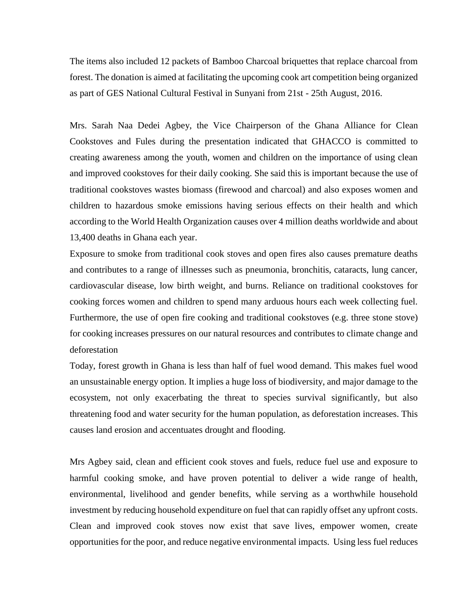The items also included 12 packets of Bamboo Charcoal briquettes that replace charcoal from forest. The donation is aimed at facilitating the upcoming cook art competition being organized as part of GES National Cultural Festival in Sunyani from 21st - 25th August, 2016.

Mrs. Sarah Naa Dedei Agbey, the Vice Chairperson of the Ghana Alliance for Clean Cookstoves and Fules during the presentation indicated that GHACCO is committed to creating awareness among the youth, women and children on the importance of using clean and improved cookstoves for their daily cooking. She said this is important because the use of traditional cookstoves wastes biomass (firewood and charcoal) and also exposes women and children to hazardous smoke emissions having serious effects on their health and which according to the World Health Organization causes over 4 million deaths worldwide and about 13,400 deaths in Ghana each year.

Exposure to smoke from traditional cook stoves and open fires also causes premature deaths and contributes to a range of illnesses such as pneumonia, bronchitis, cataracts, lung cancer, cardiovascular disease, low birth weight, and burns. Reliance on traditional cookstoves for cooking forces women and children to spend many arduous hours each week collecting fuel. Furthermore, the use of open fire cooking and traditional cookstoves (e.g. three stone stove) for cooking increases pressures on our natural resources and contributes to climate change and deforestation

Today, forest growth in Ghana is less than half of fuel wood demand. This makes fuel wood an unsustainable energy option. It implies a huge loss of biodiversity, and major damage to the ecosystem, not only exacerbating the threat to species survival significantly, but also threatening food and water security for the human population, as deforestation increases. This causes land erosion and accentuates drought and flooding.

Mrs Agbey said, clean and efficient cook stoves and fuels, reduce fuel use and exposure to harmful cooking smoke, and have proven potential to deliver a wide range of health, environmental, livelihood and gender benefits, while serving as a worthwhile household investment by reducing household expenditure on fuel that can rapidly offset any upfront costs. Clean and improved cook stoves now exist that save lives, empower women, create opportunities for the poor, and reduce negative environmental impacts. Using less fuel reduces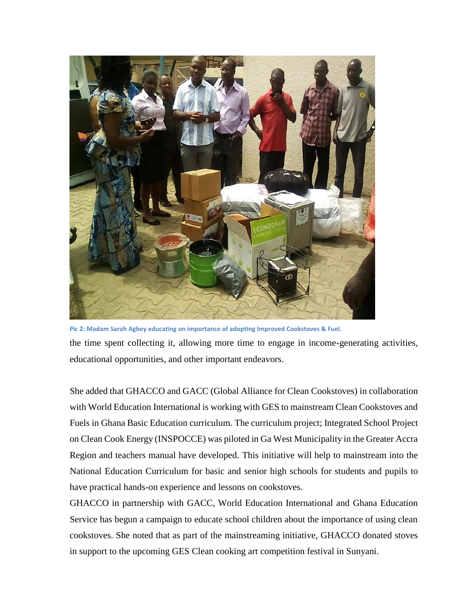

**Pic 2: Madam Sarah Agbey educating on importance of adopting Improved Cookstoves & Fuel.** the time spent collecting it, allowing more time to engage in income-generating activities, educational opportunities, and other important endeavors.

She added that GHACCO and GACC (Global Alliance for Clean Cookstoves) in collaboration with World Education International is working with GES to mainstream Clean Cookstoves and Fuels in Ghana Basic Education curriculum. The curriculum project; Integrated School Project on Clean Cook Energy (INSPOCCE) was piloted in Ga West Municipality in the Greater Accra Region and teachers manual have developed. This initiative will help to mainstream into the National Education Curriculum for basic and senior high schools for students and pupils to have practical hands-on experience and lessons on cookstoves.

GHACCO in partnership with GACC, World Education International and Ghana Education Service has begun a campaign to educate school children about the importance of using clean cookstoves. She noted that as part of the mainstreaming initiative, GHACCO donated stoves in support to the upcoming GES Clean cooking art competition festival in Sunyani.